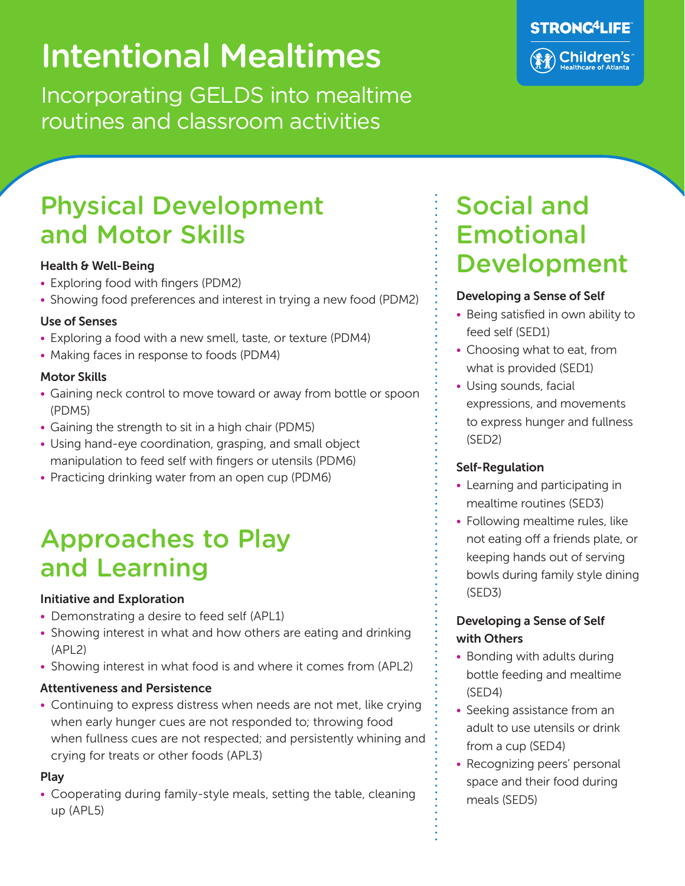# Intentional Mealtimes

Incorporating GELDS into mealtime routines and classroom activities



## Physical Development and Motor Skills

#### Health & Well-Being

- Exploring food with fingers (PDM2)
- Showing food preferences and interest in trying a new food (PDM2)

#### Use of Senses

- Exploring a food with a new smell, taste, or texture (PDM4)
- Making faces in response to foods (PDM4)

#### Motor Skills

- Gaining neck control to move toward or away from bottle or spoon (PDM5)
- Gaining the strength to sit in a high chair (PDM5)
- Using hand-eye coordination, grasping, and small object manipulation to feed self with fingers or utensils (PDM6)
- Practicing drinking water from an open cup (PDM6)

## Approaches to Play and Learning

#### Initiative and Exploration

- Demonstrating a desire to feed self (APL1)
- Showing interest in what and how others are eating and drinking (APL2)
- Showing interest in what food is and where it comes from (APL2)

#### Attentiveness and Persistence

• Continuing to express distress when needs are not met, like crying when early hunger cues are not responded to; throwing food when fullness cues are not respected; and persistently whining and crying for treats or other foods (APL3)

#### Play

• Cooperating during family-style meals, setting the table, cleaning up (APL5)

### Social and Emotional Development

#### Developing a Sense of Self

- Being satisfied in own ability to feed self (SED1)
- Choosing what to eat, from what is provided (SED1)
- Using sounds, facial expressions, and movements to express hunger and fullness (SED2)

#### Self-Regulation

- Learning and participating in mealtime routines (SED3)
- Following mealtime rules, like not eating off a friends plate, or keeping hands out of serving bowls during family style dining (SED3)

#### Developing a Sense of Self with Others

- Bonding with adults during bottle feeding and mealtime (SED4)
- Seeking assistance from an adult to use utensils or drink from a cup (SED4)
- Recognizing peers' personal space and their food during meals (SED5)